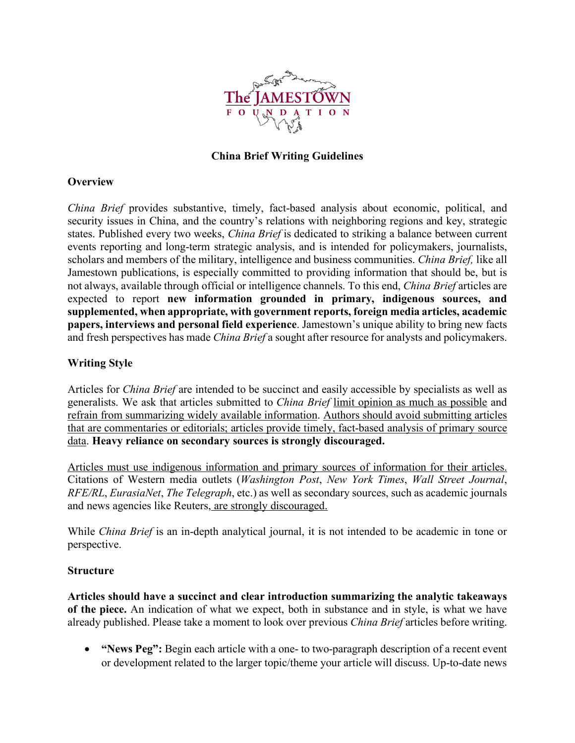

### **China Brief Writing Guidelines**

### **Overview**

*China Brief* provides substantive, timely, fact-based analysis about economic, political, and security issues in China, and the country's relations with neighboring regions and key, strategic states. Published every two weeks, *China Brief* is dedicated to striking a balance between current events reporting and long-term strategic analysis, and is intended for policymakers, journalists, scholars and members of the military, intelligence and business communities. *China Brief,* like all Jamestown publications, is especially committed to providing information that should be, but is not always, available through official or intelligence channels. To this end, *China Brief* articles are expected to report **new information grounded in primary, indigenous sources, and supplemented, when appropriate, with government reports, foreign media articles, academic papers, interviews and personal field experience**. Jamestown's unique ability to bring new facts and fresh perspectives has made *China Brief* a sought after resource for analysts and policymakers.

# **Writing Style**

Articles for *China Brief* are intended to be succinct and easily accessible by specialists as well as generalists. We ask that articles submitted to *China Brief* limit opinion as much as possible and refrain from summarizing widely available information. Authors should avoid submitting articles that are commentaries or editorials; articles provide timely, fact-based analysis of primary source data. **Heavy reliance on secondary sources is strongly discouraged.** 

Articles must use indigenous information and primary sources of information for their articles. Citations of Western media outlets (*Washington Post*, *New York Times*, *Wall Street Journal*, *RFE/RL*, *EurasiaNet*, *The Telegraph*, etc.) as well as secondary sources, such as academic journals and news agencies like Reuters, are strongly discouraged.

While *China Brief* is an in-depth analytical journal, it is not intended to be academic in tone or perspective.

# **Structure**

**Articles should have a succinct and clear introduction summarizing the analytic takeaways of the piece.** An indication of what we expect, both in substance and in style, is what we have already published. Please take a moment to look over previous *China Brief* articles before writing.

• **"News Peg":** Begin each article with a one- to two-paragraph description of a recent event or development related to the larger topic/theme your article will discuss. Up-to-date news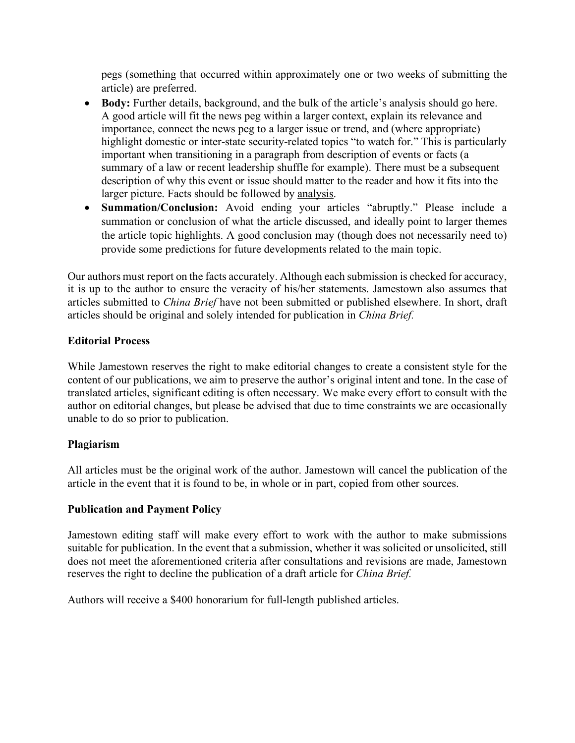pegs (something that occurred within approximately one or two weeks of submitting the article) are preferred.

- Body: Further details, background, and the bulk of the article's analysis should go here. A good article will fit the news peg within a larger context, explain its relevance and importance, connect the news peg to a larger issue or trend, and (where appropriate) highlight domestic or inter-state security-related topics "to watch for." This is particularly important when transitioning in a paragraph from description of events or facts (a summary of a law or recent leadership shuffle for example). There must be a subsequent description of why this event or issue should matter to the reader and how it fits into the larger picture. Facts should be followed by analysis.
- **Summation/Conclusion:** Avoid ending your articles "abruptly." Please include a summation or conclusion of what the article discussed, and ideally point to larger themes the article topic highlights. A good conclusion may (though does not necessarily need to) provide some predictions for future developments related to the main topic.

Our authors must report on the facts accurately. Although each submission is checked for accuracy, it is up to the author to ensure the veracity of his/her statements. Jamestown also assumes that articles submitted to *China Brief* have not been submitted or published elsewhere. In short, draft articles should be original and solely intended for publication in *China Brief.*

# **Editorial Process**

While Jamestown reserves the right to make editorial changes to create a consistent style for the content of our publications, we aim to preserve the author's original intent and tone. In the case of translated articles, significant editing is often necessary. We make every effort to consult with the author on editorial changes, but please be advised that due to time constraints we are occasionally unable to do so prior to publication.

# **Plagiarism**

All articles must be the original work of the author. Jamestown will cancel the publication of the article in the event that it is found to be, in whole or in part, copied from other sources.

# **Publication and Payment Policy**

Jamestown editing staff will make every effort to work with the author to make submissions suitable for publication. In the event that a submission, whether it was solicited or unsolicited, still does not meet the aforementioned criteria after consultations and revisions are made, Jamestown reserves the right to decline the publication of a draft article for *China Brief.*

Authors will receive a \$400 honorarium for full-length published articles.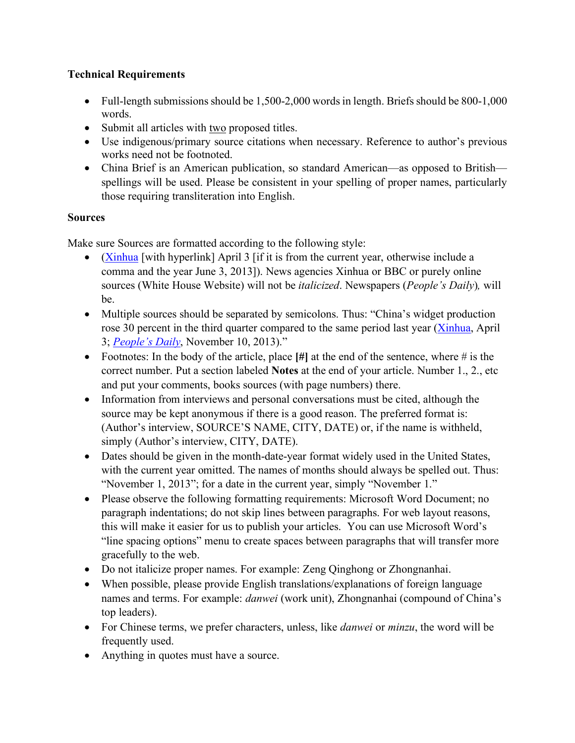# **Technical Requirements**

- Full-length submissions should be 1,500-2,000 words in length. Briefs should be 800-1,000 words.
- Submit all articles with two proposed titles.
- Use indigenous/primary source citations when necessary. Reference to author's previous works need not be footnoted.
- China Brief is an American publication, so standard American—as opposed to British spellings will be used. Please be consistent in your spelling of proper names, particularly those requiring transliteration into English.

# **Sources**

Make sure Sources are formatted according to the following style:

- (Xinhua [with hyperlink] April 3 [if it is from the current year, otherwise include a comma and the year June 3, 2013]). News agencies Xinhua or BBC or purely online sources (White House Website) will not be *italicized*. Newspapers (*People's Daily*)*,* will be.
- Multiple sources should be separated by semicolons. Thus: "China's widget production rose 30 percent in the third quarter compared to the same period last year (Xinhua, April 3; *People's Daily*, November 10, 2013)."
- Footnotes: In the body of the article, place **[#]** at the end of the sentence, where # is the correct number. Put a section labeled **Notes** at the end of your article. Number 1., 2., etc and put your comments, books sources (with page numbers) there.
- Information from interviews and personal conversations must be cited, although the source may be kept anonymous if there is a good reason. The preferred format is: (Author's interview, SOURCE'S NAME, CITY, DATE) or, if the name is withheld, simply (Author's interview, CITY, DATE).
- Dates should be given in the month-date-year format widely used in the United States, with the current year omitted. The names of months should always be spelled out. Thus: "November 1, 2013"; for a date in the current year, simply "November 1."
- Please observe the following formatting requirements: Microsoft Word Document; no paragraph indentations; do not skip lines between paragraphs. For web layout reasons, this will make it easier for us to publish your articles. You can use Microsoft Word's "line spacing options" menu to create spaces between paragraphs that will transfer more gracefully to the web.
- Do not italicize proper names. For example: Zeng Qinghong or Zhongnanhai.
- When possible, please provide English translations/explanations of foreign language names and terms. For example: *danwei* (work unit), Zhongnanhai (compound of China's top leaders).
- For Chinese terms, we prefer characters, unless, like *danwei* or *minzu*, the word will be frequently used.
- Anything in quotes must have a source.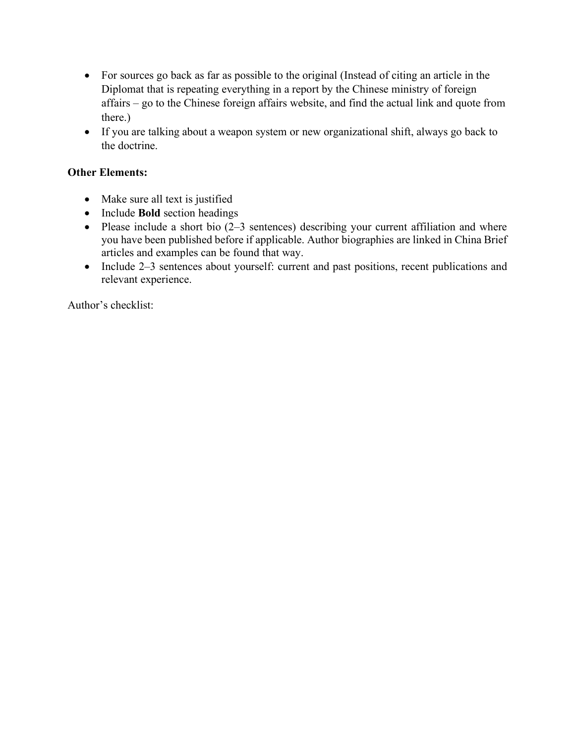- For sources go back as far as possible to the original (Instead of citing an article in the Diplomat that is repeating everything in a report by the Chinese ministry of foreign affairs – go to the Chinese foreign affairs website, and find the actual link and quote from there.)
- If you are talking about a weapon system or new organizational shift, always go back to the doctrine.

# **Other Elements:**

- Make sure all text is justified
- Include **Bold** section headings
- Please include a short bio (2–3 sentences) describing your current affiliation and where you have been published before if applicable. Author biographies are linked in China Brief articles and examples can be found that way.
- Include 2–3 sentences about yourself: current and past positions, recent publications and relevant experience.

Author's checklist: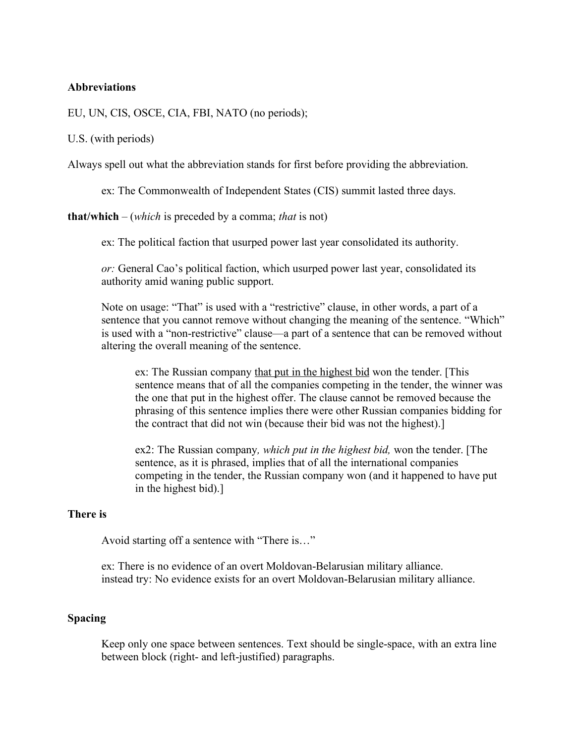### **Abbreviations**

EU, UN, CIS, OSCE, CIA, FBI, NATO (no periods);

U.S. (with periods)

Always spell out what the abbreviation stands for first before providing the abbreviation.

ex: The Commonwealth of Independent States (CIS) summit lasted three days.

**that/which** – (*which* is preceded by a comma; *that* is not)

ex: The political faction that usurped power last year consolidated its authority.

*or:* General Cao's political faction, which usurped power last year, consolidated its authority amid waning public support.

Note on usage: "That" is used with a "restrictive" clause, in other words, a part of a sentence that you cannot remove without changing the meaning of the sentence. "Which" is used with a "non-restrictive" clause—a part of a sentence that can be removed without altering the overall meaning of the sentence.

ex: The Russian company that put in the highest bid won the tender. [This sentence means that of all the companies competing in the tender, the winner was the one that put in the highest offer. The clause cannot be removed because the phrasing of this sentence implies there were other Russian companies bidding for the contract that did not win (because their bid was not the highest).]

ex2: The Russian company*, which put in the highest bid,* won the tender. [The sentence, as it is phrased, implies that of all the international companies competing in the tender, the Russian company won (and it happened to have put in the highest bid).]

#### **There is**

Avoid starting off a sentence with "There is…"

ex: There is no evidence of an overt Moldovan-Belarusian military alliance. instead try: No evidence exists for an overt Moldovan-Belarusian military alliance.

### **Spacing**

Keep only one space between sentences. Text should be single-space, with an extra line between block (right- and left-justified) paragraphs.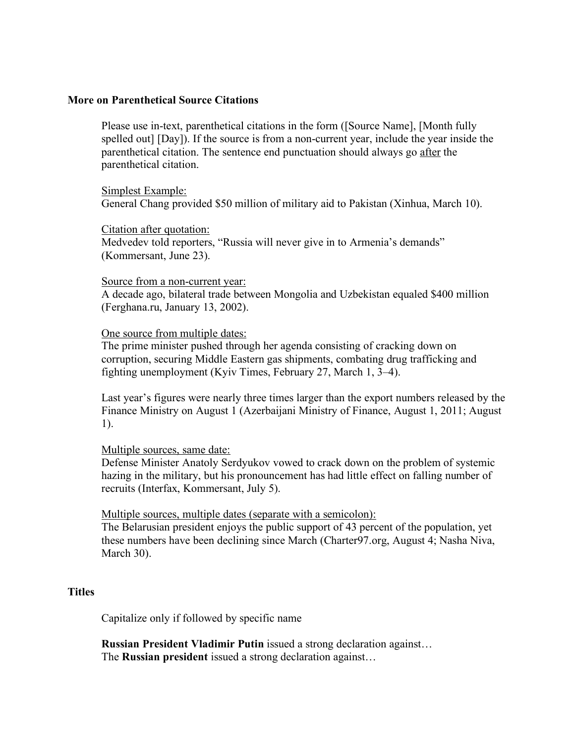#### **More on Parenthetical Source Citations**

Please use in-text, parenthetical citations in the form ([Source Name], [Month fully spelled out] [Day]). If the source is from a non-current year, include the year inside the parenthetical citation. The sentence end punctuation should always go after the parenthetical citation.

Simplest Example: General Chang provided \$50 million of military aid to Pakistan (Xinhua, March 10).

### Citation after quotation:

Medvedev told reporters, "Russia will never give in to Armenia's demands" (Kommersant, June 23).

#### Source from a non-current year:

A decade ago, bilateral trade between Mongolia and Uzbekistan equaled \$400 million (Ferghana.ru, January 13, 2002).

### One source from multiple dates:

The prime minister pushed through her agenda consisting of cracking down on corruption, securing Middle Eastern gas shipments, combating drug trafficking and fighting unemployment (Kyiv Times, February 27, March 1, 3–4).

Last year's figures were nearly three times larger than the export numbers released by the Finance Ministry on August 1 (Azerbaijani Ministry of Finance, August 1, 2011; August 1).

### Multiple sources, same date:

Defense Minister Anatoly Serdyukov vowed to crack down on the problem of systemic hazing in the military, but his pronouncement has had little effect on falling number of recruits (Interfax, Kommersant, July 5).

Multiple sources, multiple dates (separate with a semicolon):

The Belarusian president enjoys the public support of 43 percent of the population, yet these numbers have been declining since March (Charter97.org, August 4; Nasha Niva, March 30).

### **Titles**

Capitalize only if followed by specific name

**Russian President Vladimir Putin** issued a strong declaration against… The **Russian president** issued a strong declaration against…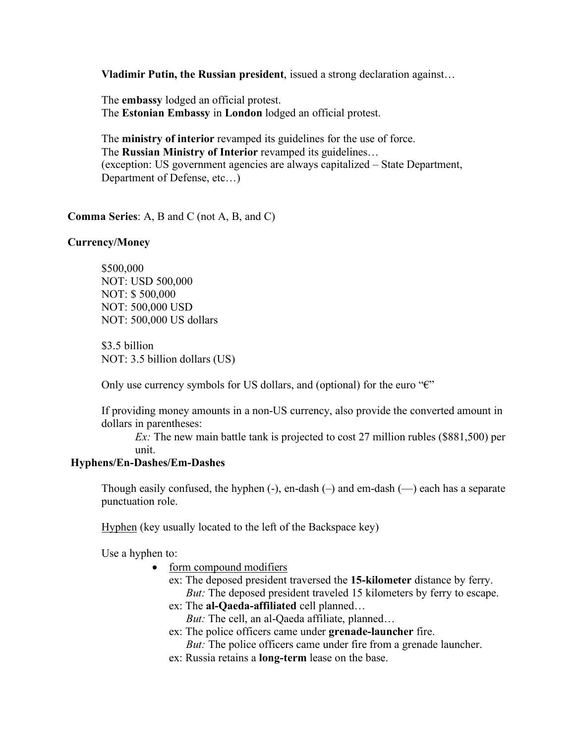**Vladimir Putin, the Russian president**, issued a strong declaration against…

The **embassy** lodged an official protest. The **Estonian Embassy** in **London** lodged an official protest.

The **ministry of interior** revamped its guidelines for the use of force. The **Russian Ministry of Interior** revamped its guidelines… (exception: US government agencies are always capitalized – State Department, Department of Defense, etc…)

**Comma Series**: A, B and C (not A, B, and C)

### **Currency/Money**

\$500,000 NOT: USD 500,000 NOT: \$ 500,000 NOT: 500,000 USD NOT: 500,000 US dollars

\$3.5 billion NOT: 3.5 billion dollars (US)

Only use currency symbols for US dollars, and (optional) for the euro " $\varepsilon$ "

If providing money amounts in a non-US currency, also provide the converted amount in dollars in parentheses:

*Ex*: The new main battle tank is projected to cost 27 million rubles (\$881,500) per unit.

#### **Hyphens/En-Dashes/Em-Dashes**

Though easily confused, the hyphen  $(-)$ , en-dash  $(-)$  and em-dash  $(-)$  each has a separate punctuation role.

Hyphen (key usually located to the left of the Backspace key)

Use a hyphen to:

- form compound modifiers
	- ex: The deposed president traversed the **15-kilometer** distance by ferry. *But:* The deposed president traveled 15 kilometers by ferry to escape.
	- ex: The **al-Qaeda-affiliated** cell planned…
		- *But:* The cell, an al-Qaeda affiliate, planned…
	- ex: The police officers came under **grenade-launcher** fire.
		- *But:* The police officers came under fire from a grenade launcher.
	- ex: Russia retains a **long-term** lease on the base.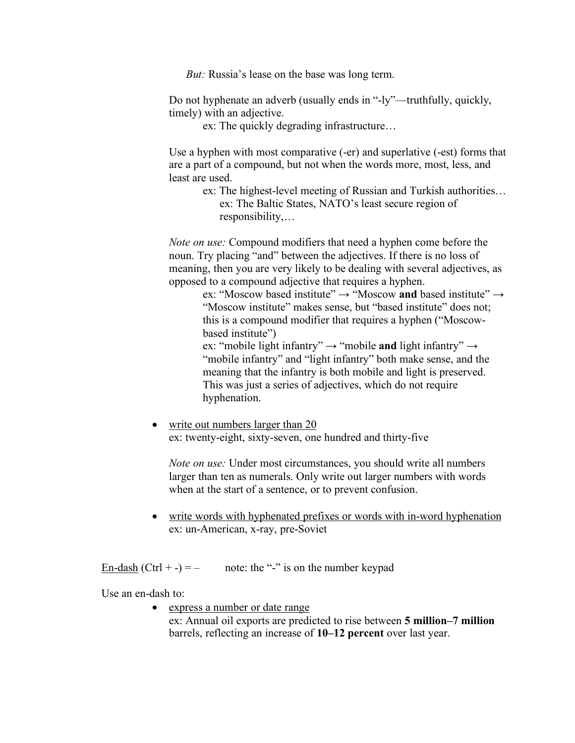*But:* Russia's lease on the base was long term.

Do not hyphenate an adverb (usually ends in "-ly"—truthfully, quickly, timely) with an adjective.

ex: The quickly degrading infrastructure…

Use a hyphen with most comparative (-er) and superlative (-est) forms that are a part of a compound, but not when the words more, most, less, and least are used.

ex: The highest-level meeting of Russian and Turkish authorities… ex: The Baltic States, NATO's least secure region of responsibility,…

*Note on use:* Compound modifiers that need a hyphen come before the noun. Try placing "and" between the adjectives. If there is no loss of meaning, then you are very likely to be dealing with several adjectives, as opposed to a compound adjective that requires a hyphen.

> ex: "Moscow based institute" → "Moscow **and** based institute" → "Moscow institute" makes sense, but "based institute" does not; this is a compound modifier that requires a hyphen ("Moscowbased institute")

ex: "mobile light infantry" → "mobile **and** light infantry" → "mobile infantry" and "light infantry" both make sense, and the meaning that the infantry is both mobile and light is preserved. This was just a series of adjectives, which do not require hyphenation.

• write out numbers larger than 20 ex: twenty-eight, sixty-seven, one hundred and thirty-five

*Note on use:* Under most circumstances, you should write all numbers larger than ten as numerals. Only write out larger numbers with words when at the start of a sentence, or to prevent confusion.

• write words with hyphenated prefixes or words with in-word hyphenation ex: un-American, x-ray, pre-Soviet

<u>En-dash</u> (Ctrl + -) = – note: the "-" is on the number keypad

Use an en-dash to:

• express a number or date range

ex: Annual oil exports are predicted to rise between **5 million–7 million** barrels, reflecting an increase of **10–12 percent** over last year.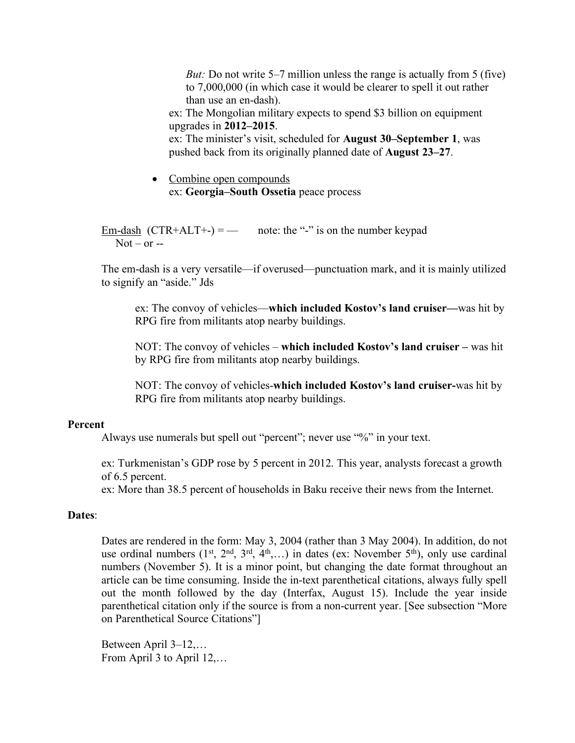*But:* Do not write 5–7 million unless the range is actually from 5 (five) to 7,000,000 (in which case it would be clearer to spell it out rather than use an en-dash).

ex: The Mongolian military expects to spend \$3 billion on equipment upgrades in **2012–2015**.

ex: The minister's visit, scheduled for **August 30–September 1**, was pushed back from its originally planned date of **August 23–27**.

• Combine open compounds ex: **Georgia–South Ossetia** peace process

<u>Em-dash</u> (CTR+ALT+-) = — note: the "-" is on the number keypad  $Not - or -$ 

The em-dash is a very versatile—if overused—punctuation mark, and it is mainly utilized to signify an "aside." Jds

ex: The convoy of vehicles—**which included Kostov's land cruiser—**was hit by RPG fire from militants atop nearby buildings.

NOT: The convoy of vehicles – **which included Kostov's land cruiser –** was hit by RPG fire from militants atop nearby buildings.

NOT: The convoy of vehicles-**which included Kostov's land cruiser-**was hit by RPG fire from militants atop nearby buildings.

### **Percent**

Always use numerals but spell out "percent"; never use "%" in your text.

ex: Turkmenistan's GDP rose by 5 percent in 2012. This year, analysts forecast a growth of 6.5 percent.

ex: More than 38.5 percent of households in Baku receive their news from the Internet.

#### **Dates**:

Dates are rendered in the form: May 3, 2004 (rather than 3 May 2004). In addition, do not use ordinal numbers  $(1^{st}, 2^{nd}, 3^{rd}, 4^{th}, \ldots)$  in dates (ex: November 5<sup>th</sup>), only use cardinal numbers (November 5). It is a minor point, but changing the date format throughout an article can be time consuming. Inside the in-text parenthetical citations, always fully spell out the month followed by the day (Interfax, August 15). Include the year inside parenthetical citation only if the source is from a non-current year. [See subsection "More on Parenthetical Source Citations"]

Between April 3–12,… From April 3 to April 12,…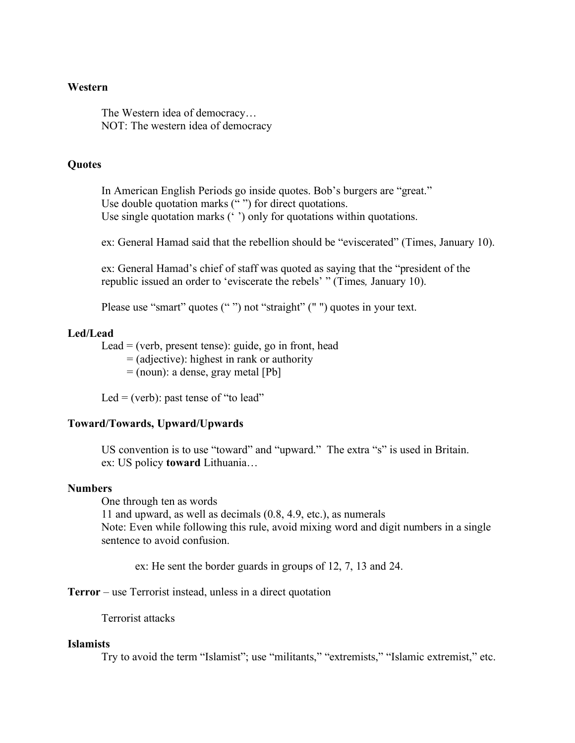#### **Western**

The Western idea of democracy… NOT: The western idea of democracy

### **Quotes**

In American English Periods go inside quotes. Bob's burgers are "great." Use double quotation marks  $($ " ") for direct quotations. Use single quotation marks ('') only for quotations within quotations.

ex: General Hamad said that the rebellion should be "eviscerated" (Times, January 10).

ex: General Hamad's chief of staff was quoted as saying that the "president of the republic issued an order to 'eviscerate the rebels' " (Times*,* January 10).

Please use "smart" quotes ("") not "straight" ("") quotes in your text.

### **Led/Lead**

Lead  $=$  (verb, present tense): guide, go in front, head

= (adjective): highest in rank or authority

 $=$  (noun): a dense, gray metal [Pb]

Led  $=$  (verb): past tense of "to lead"

#### **Toward/Towards, Upward/Upwards**

US convention is to use "toward" and "upward." The extra "s" is used in Britain. ex: US policy **toward** Lithuania…

#### **Numbers**

One through ten as words

11 and upward, as well as decimals (0.8, 4.9, etc.), as numerals Note: Even while following this rule, avoid mixing word and digit numbers in a single sentence to avoid confusion.

ex: He sent the border guards in groups of 12, 7, 13 and 24.

**Terror** – use Terrorist instead, unless in a direct quotation

Terrorist attacks

#### **Islamists**

Try to avoid the term "Islamist"; use "militants," "extremists," "Islamic extremist," etc.